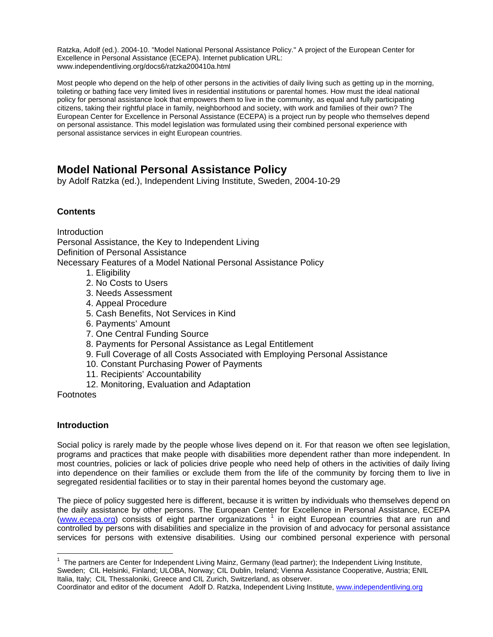Ratzka, Adolf (ed.). 2004-10. "Model National Personal Assistance Policy." A project of the European Center for Excellence in Personal Assistance (ECEPA). Internet publication URL: www.independentliving.org/docs6/ratzka200410a.html

Most people who depend on the help of other persons in the activities of daily living such as getting up in the morning, toileting or bathing face very limited lives in residential institutions or parental homes. How must the ideal national policy for personal assistance look that empowers them to live in the community, as equal and fully participating citizens, taking their rightful place in family, neighborhood and society, with work and families of their own? The European Center for Excellence in Personal Assistance (ECEPA) is a project run by people who themselves depend on personal assistance. This model legislation was formulated using their combined personal experience with personal assistance services in eight European countries.

# **Model National Personal Assistance Policy**

by Adolf Ratzka (ed.), Independent Living Institute, Sweden, 2004-10-29

# **Contents**

**Introduction** Personal Assistance, the Key to Independent Living Definition of Personal Assistance Necessary Features of a Model National Personal Assistance Policy

- 1. Eligibility
- 2. No Costs to Users
- 3. Needs Assessment
- 4. Appeal Procedure
- 5. Cash Benefits, Not Services in Kind
- 6. Payments' Amount
- 7. One Central Funding Source
- 8. Payments for Personal Assistance as Legal Entitlement
- 9. Full Coverage of all Costs Associated with Employing Personal Assistance
- 10. Constant Purchasing Power of Payments
- 11. Recipients' Accountability
- 12. Monitoring, Evaluation and Adaptation

Footnotes

## **Introduction**

Social policy is rarely made by the people whose lives depend on it. For that reason we often see legislation, programs and practices that make people with disabilities more dependent rather than more independent. In most countries, policies or lack of policies drive people who need help of others in the activities of daily living into dependence on their families or exclude them from the life of the community by forcing them to live in segregated residential facilities or to stay in their parental homes beyond the customary age.

The piece of policy suggested here is different, because it is written by individuals who themselves depend on the daily assistance by other persons. The European Center for Excellence in Personal Assistance, ECEPA (www.ecepa.org) consists of eight partner organizations <sup>1</sup> in eight European countries that are run and controlled by persons with disabilities and specialize in the provision of and advocacy for personal assistance services for persons with extensive disabilities. Using our combined personal experience with personal

 $\overline{a}$ <sup>1</sup> The partners are Center for Independent Living Mainz, Germany (lead partner); the Independent Living Institute, Sweden; CIL Helsinki, Finland; ULOBA, Norway; CIL Dublin, Ireland; Vienna Assistance Cooperative, Austria; ENIL Italia, Italy; CIL Thessaloniki, Greece and CIL Zurich, Switzerland, as observer.

Coordinator and editor of the document Adolf D. Ratzka, Independent Living Institute, www.independentliving.org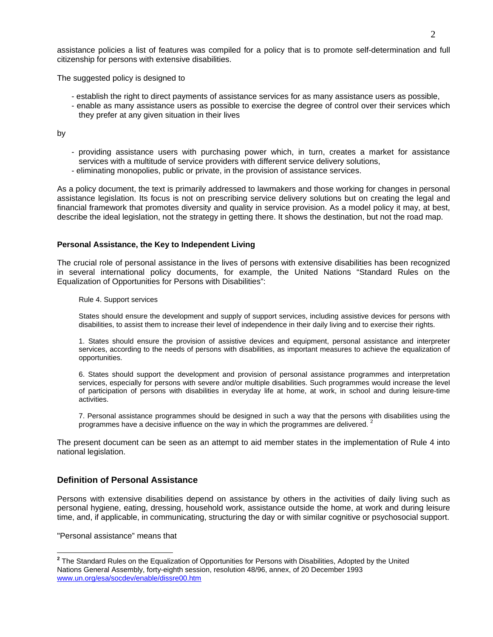assistance policies a list of features was compiled for a policy that is to promote self-determination and full citizenship for persons with extensive disabilities.

The suggested policy is designed to

- establish the right to direct payments of assistance services for as many assistance users as possible,
- enable as many assistance users as possible to exercise the degree of control over their services which they prefer at any given situation in their lives

by

- providing assistance users with purchasing power which, in turn, creates a market for assistance services with a multitude of service providers with different service delivery solutions,
- eliminating monopolies, public or private, in the provision of assistance services.

As a policy document, the text is primarily addressed to lawmakers and those working for changes in personal assistance legislation. Its focus is not on prescribing service delivery solutions but on creating the legal and financial framework that promotes diversity and quality in service provision. As a model policy it may, at best, describe the ideal legislation, not the strategy in getting there. It shows the destination, but not the road map.

#### **Personal Assistance, the Key to Independent Living**

The crucial role of personal assistance in the lives of persons with extensive disabilities has been recognized in several international policy documents, for example, the United Nations "Standard Rules on the Equalization of Opportunities for Persons with Disabilities":

Rule 4. Support services

States should ensure the development and supply of support services, including assistive devices for persons with disabilities, to assist them to increase their level of independence in their daily living and to exercise their rights.

1. States should ensure the provision of assistive devices and equipment, personal assistance and interpreter services, according to the needs of persons with disabilities, as important measures to achieve the equalization of opportunities.

6. States should support the development and provision of personal assistance programmes and interpretation services, especially for persons with severe and/or multiple disabilities. Such programmes would increase the level of participation of persons with disabilities in everyday life at home, at work, in school and during leisure-time activities.

7. Personal assistance programmes should be designed in such a way that the persons with disabilities using the programmes have a decisive influence on the way in which the programmes are delivered. <sup>2</sup>

The present document can be seen as an attempt to aid member states in the implementation of Rule 4 into national legislation.

## **Definition of Personal Assistance**

Persons with extensive disabilities depend on assistance by others in the activities of daily living such as personal hygiene, eating, dressing, household work, assistance outside the home, at work and during leisure time, and, if applicable, in communicating, structuring the day or with similar cognitive or psychosocial support.

"Personal assistance" means that

 $\overline{\phantom{a}}$ 

**<sup>2</sup>** The Standard Rules on the Equalization of Opportunities for Persons with Disabilities, Adopted by the United Nations General Assembly, forty-eighth session, resolution 48/96, annex, of 20 December 1993 www.un.org/esa/socdev/enable/dissre00.htm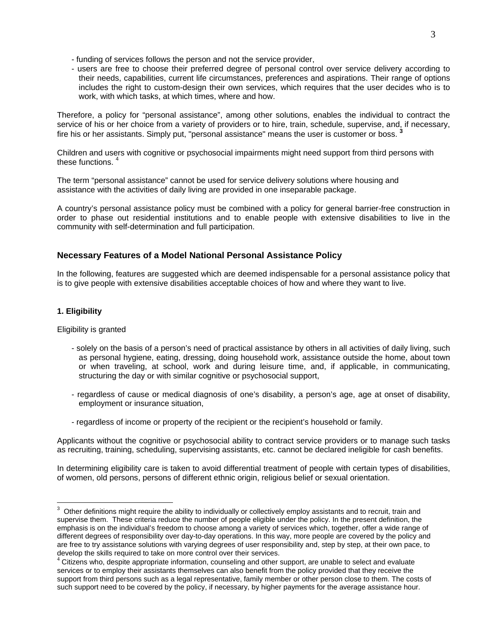- funding of services follows the person and not the service provider,
- users are free to choose their preferred degree of personal control over service delivery according to their needs, capabilities, current life circumstances, preferences and aspirations. Their range of options includes the right to custom-design their own services, which requires that the user decides who is to work, with which tasks, at which times, where and how.

Therefore, a policy for "personal assistance", among other solutions, enables the individual to contract the service of his or her choice from a variety of providers or to hire, train, schedule, supervise, and, if necessary, fire his or her assistants. Simply put, "personal assistance" means the user is customer or boss. **<sup>3</sup>**

Children and users with cognitive or psychosocial impairments might need support from third persons with these functions.<sup>4</sup>

The term "personal assistance" cannot be used for service delivery solutions where housing and assistance with the activities of daily living are provided in one inseparable package.

A country's personal assistance policy must be combined with a policy for general barrier-free construction in order to phase out residential institutions and to enable people with extensive disabilities to live in the community with self-determination and full participation.

## **Necessary Features of a Model National Personal Assistance Policy**

In the following, features are suggested which are deemed indispensable for a personal assistance policy that is to give people with extensive disabilities acceptable choices of how and where they want to live.

## **1. Eligibility**

 $\overline{a}$ 

Eligibility is granted

- solely on the basis of a person's need of practical assistance by others in all activities of daily living, such as personal hygiene, eating, dressing, doing household work, assistance outside the home, about town or when traveling, at school, work and during leisure time, and, if applicable, in communicating, structuring the day or with similar cognitive or psychosocial support,
- regardless of cause or medical diagnosis of one's disability, a person's age, age at onset of disability, employment or insurance situation,
- regardless of income or property of the recipient or the recipient's household or family.

Applicants without the cognitive or psychosocial ability to contract service providers or to manage such tasks as recruiting, training, scheduling, supervising assistants, etc. cannot be declared ineligible for cash benefits.

In determining eligibility care is taken to avoid differential treatment of people with certain types of disabilities, of women, old persons, persons of different ethnic origin, religious belief or sexual orientation.

 $3$  Other definitions might require the ability to individually or collectively employ assistants and to recruit, train and supervise them. These criteria reduce the number of people eligible under the policy. In the present definition, the emphasis is on the individual's freedom to choose among a variety of services which, together, offer a wide range of different degrees of responsibility over day-to-day operations. In this way, more people are covered by the policy and are free to try assistance solutions with varying degrees of user responsibility and, step by step, at their own pace, to develop the skills required to take on more control over their services.

 $4$  Citizens who, despite appropriate information, counseling and other support, are unable to select and evaluate services or to employ their assistants themselves can also benefit from the policy provided that they receive the support from third persons such as a legal representative, family member or other person close to them. The costs of such support need to be covered by the policy, if necessary, by higher payments for the average assistance hour.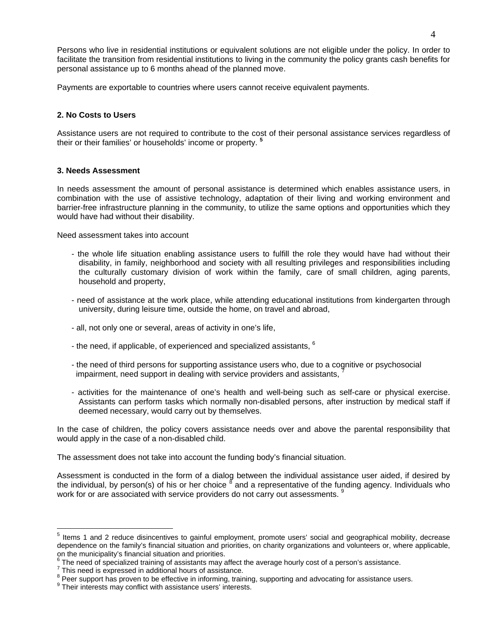Persons who live in residential institutions or equivalent solutions are not eligible under the policy. In order to facilitate the transition from residential institutions to living in the community the policy grants cash benefits for personal assistance up to 6 months ahead of the planned move.

Payments are exportable to countries where users cannot receive equivalent payments.

#### **2. No Costs to Users**

Assistance users are not required to contribute to the cost of their personal assistance services regardless of their or their families' or households' income or property. **<sup>5</sup>**

#### **3. Needs Assessment**

In needs assessment the amount of personal assistance is determined which enables assistance users, in combination with the use of assistive technology, adaptation of their living and working environment and barrier-free infrastructure planning in the community, to utilize the same options and opportunities which they would have had without their disability.

Need assessment takes into account

- the whole life situation enabling assistance users to fulfill the role they would have had without their disability, in family, neighborhood and society with all resulting privileges and responsibilities including the culturally customary division of work within the family, care of small children, aging parents, household and property,
- need of assistance at the work place, while attending educational institutions from kindergarten through university, during leisure time, outside the home, on travel and abroad,
- all, not only one or several, areas of activity in one's life,
- the need, if applicable, of experienced and specialized assistants,  $6$
- the need of third persons for supporting assistance users who, due to a cognitive or psychosocial impairment, need support in dealing with service providers and assistants,
- activities for the maintenance of one's health and well-being such as self-care or physical exercise. Assistants can perform tasks which normally non-disabled persons, after instruction by medical staff if deemed necessary, would carry out by themselves.

In the case of children, the policy covers assistance needs over and above the parental responsibility that would apply in the case of a non-disabled child.

The assessment does not take into account the funding body's financial situation.

Assessment is conducted in the form of a dialog between the individual assistance user aided, if desired by the individual, by person(s) of his or her choice <sup>8</sup> and a representative of the funding agency. Individuals who work for or are associated with service providers do not carry out assessments.

 $\overline{a}$ 

<sup>&</sup>lt;sup>5</sup> Items 1 and 2 reduce disincentives to gainful employment, promote users' social and geographical mobility, decrease dependence on the family's financial situation and priorities, on charity organizations and volunteers or, where applicable, on the municipality's financial situation and priorities.

<sup>6</sup> The need of specialized training of assistants may affect the average hourly cost of a person's assistance.

 $7$  This need is expressed in additional hours of assistance.

 $^8$  Peer support has proven to be effective in informing, training, supporting and advocating for assistance users.<br>9 Their interacts may conflict with assistance users' interacts.

 $<sup>9</sup>$  Their interests may conflict with assistance users' interests.</sup>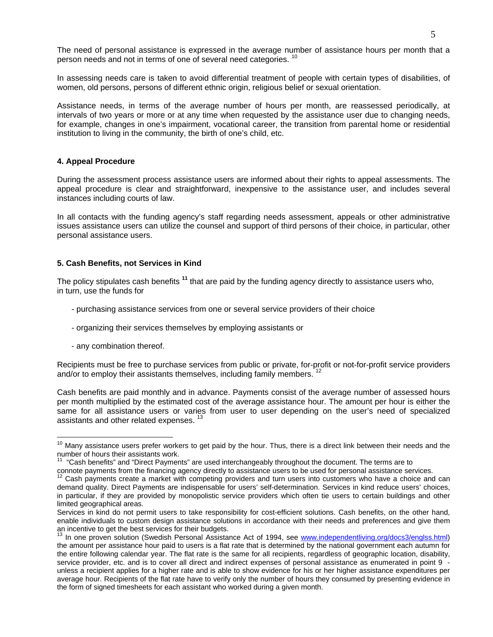The need of personal assistance is expressed in the average number of assistance hours per month that a person needs and not in terms of one of several need categories. <sup>10</sup>

In assessing needs care is taken to avoid differential treatment of people with certain types of disabilities, of women, old persons, persons of different ethnic origin, religious belief or sexual orientation.

Assistance needs, in terms of the average number of hours per month, are reassessed periodically, at intervals of two years or more or at any time when requested by the assistance user due to changing needs, for example, changes in one's impairment, vocational career, the transition from parental home or residential institution to living in the community, the birth of one's child, etc.

#### **4. Appeal Procedure**

During the assessment process assistance users are informed about their rights to appeal assessments. The appeal procedure is clear and straightforward, inexpensive to the assistance user, and includes several instances including courts of law.

In all contacts with the funding agency's staff regarding needs assessment, appeals or other administrative issues assistance users can utilize the counsel and support of third persons of their choice, in particular, other personal assistance users.

#### **5. Cash Benefits, not Services in Kind**

The policy stipulates cash benefits **<sup>11</sup>** that are paid by the funding agency directly to assistance users who, in turn, use the funds for

- purchasing assistance services from one or several service providers of their choice
- organizing their services themselves by employing assistants or
- any combination thereof.

 $\overline{a}$ 

Recipients must be free to purchase services from public or private, for-profit or not-for-profit service providers and/or to employ their assistants themselves, including family members.<sup>12</sup>

Cash benefits are paid monthly and in advance. Payments consist of the average number of assessed hours per month multiplied by the estimated cost of the average assistance hour. The amount per hour is either the same for all assistance users or varies from user to user depending on the user's need of specialized assistants and other related expenses. <sup>13</sup>

<sup>&</sup>lt;sup>10</sup> Many assistance users prefer workers to get paid by the hour. Thus, there is a direct link between their needs and the number of hours their assistants work.

<sup>&</sup>lt;sup>11</sup> "Cash benefits" and "Direct Payments" are used interchangeably throughout the document. The terms are to

connote payments from the financing agency directly to assistance users to be used for personal assistance services.<br><sup>12</sup> Cash payments create a market with competing providers and turn users into customers who have a choi

demand quality. Direct Payments are indispensable for users' self-determination. Services in kind reduce users' choices, in particular, if they are provided by monopolistic service providers which often tie users to certain buildings and other limited geographical areas.

Services in kind do not permit users to take responsibility for cost-efficient solutions. Cash benefits, on the other hand, enable individuals to custom design assistance solutions in accordance with their needs and preferences and give them

an incentive to get the best services for their budgets.<br><sup>13</sup> In one proven solution (Swedish Personal Assistance Act of 1994, see www.independentliving.org/docs3/englss.html) the amount per assistance hour paid to users is a flat rate that is determined by the national government each autumn for the entire following calendar year. The flat rate is the same for all recipients, regardless of geographic location, disability, service provider, etc. and is to cover all direct and indirect expenses of personal assistance as enumerated in point 9 unless a recipient applies for a higher rate and is able to show evidence for his or her higher assistance expenditures per average hour. Recipients of the flat rate have to verify only the number of hours they consumed by presenting evidence in the form of signed timesheets for each assistant who worked during a given month.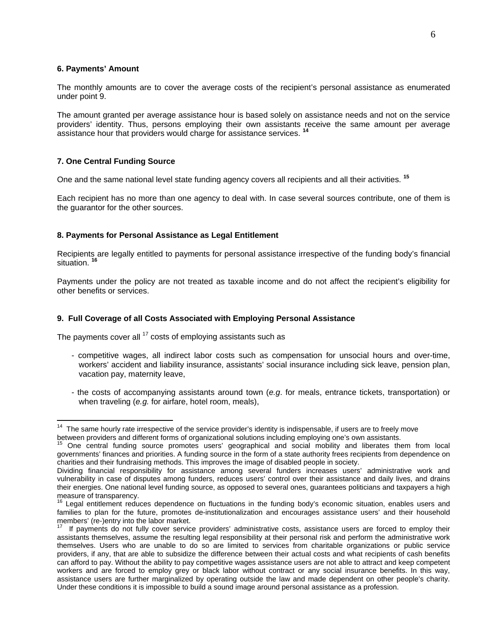#### **6. Payments' Amount**

The monthly amounts are to cover the average costs of the recipient's personal assistance as enumerated under point 9.

The amount granted per average assistance hour is based solely on assistance needs and not on the service providers' identity. Thus, persons employing their own assistants receive the same amount per average assistance hour that providers would charge for assistance services. **<sup>14</sup>**

#### **7. One Central Funding Source**

 $\overline{a}$ 

One and the same national level state funding agency covers all recipients and all their activities. **<sup>15</sup>**

Each recipient has no more than one agency to deal with. In case several sources contribute, one of them is the guarantor for the other sources.

#### **8. Payments for Personal Assistance as Legal Entitlement**

Recipients are legally entitled to payments for personal assistance irrespective of the funding body's financial situation. **<sup>16</sup>**

Payments under the policy are not treated as taxable income and do not affect the recipient's eligibility for other benefits or services.

#### **9. Full Coverage of all Costs Associated with Employing Personal Assistance**

The payments cover all  $17$  costs of employing assistants such as

- competitive wages, all indirect labor costs such as compensation for unsocial hours and over-time, workers' accident and liability insurance, assistants' social insurance including sick leave, pension plan, vacation pay, maternity leave,
- the costs of accompanying assistants around town (*e.g*. for meals, entrance tickets, transportation) or when traveling (*e.g.* for airfare, hotel room, meals),

 $14$  The same hourly rate irrespective of the service provider's identity is indispensable, if users are to freely move

between providers and different forms of organizational solutions including employing one's own assistants.

<sup>&</sup>lt;sup>15</sup> One central funding source promotes users' geographical and social mobility and liberates them from local governments' finances and priorities. A funding source in the form of a state authority frees recipients from dependence on charities and their fundraising methods. This improves the image of disabled people in society.

Dividing financial responsibility for assistance among several funders increases users' administrative work and vulnerability in case of disputes among funders, reduces users' control over their assistance and daily lives, and drains their energies. One national level funding source, as opposed to several ones, guarantees politicians and taxpayers a high measure of transparency.

<sup>&</sup>lt;sup>16</sup> Legal entitlement reduces dependence on fluctuations in the funding body's economic situation, enables users and families to plan for the future, promotes de-institutionalization and encourages assistance users' and their household members' (re-)entry into the labor market.

If payments do not fully cover service providers' administrative costs, assistance users are forced to employ their assistants themselves, assume the resulting legal responsibility at their personal risk and perform the administrative work themselves. Users who are unable to do so are limited to services from charitable organizations or public service providers, if any, that are able to subsidize the difference between their actual costs and what recipients of cash benefits can afford to pay. Without the ability to pay competitive wages assistance users are not able to attract and keep competent workers and are forced to employ grey or black labor without contract or any social insurance benefits. In this way, assistance users are further marginalized by operating outside the law and made dependent on other people's charity. Under these conditions it is impossible to build a sound image around personal assistance as a profession.